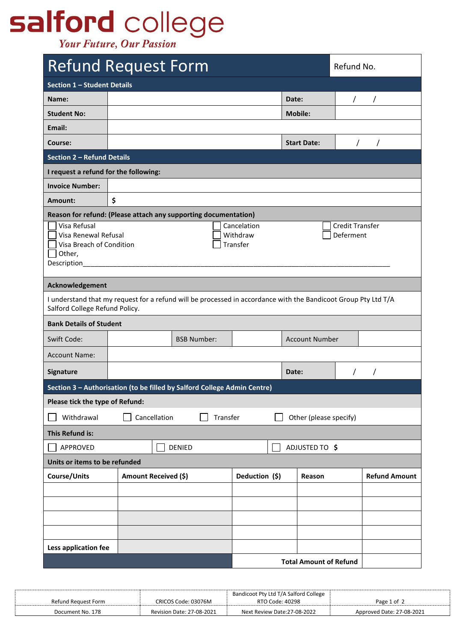## salford college

**Your Future, Our Passion** 

| <b>Refund Request Form</b>                                                                                                                                               |                                             |  |                |       | Refund No.                    |  |                      |
|--------------------------------------------------------------------------------------------------------------------------------------------------------------------------|---------------------------------------------|--|----------------|-------|-------------------------------|--|----------------------|
| Section 1 - Student Details                                                                                                                                              |                                             |  |                |       |                               |  |                      |
| Name:                                                                                                                                                                    |                                             |  |                | Date: |                               |  |                      |
| <b>Student No:</b>                                                                                                                                                       |                                             |  |                |       | <b>Mobile:</b>                |  |                      |
| Email:                                                                                                                                                                   |                                             |  |                |       |                               |  |                      |
| Course:                                                                                                                                                                  |                                             |  |                |       | <b>Start Date:</b>            |  |                      |
| <b>Section 2 - Refund Details</b>                                                                                                                                        |                                             |  |                |       |                               |  |                      |
| I request a refund for the following:                                                                                                                                    |                                             |  |                |       |                               |  |                      |
| <b>Invoice Number:</b>                                                                                                                                                   |                                             |  |                |       |                               |  |                      |
| Amount:                                                                                                                                                                  | \$                                          |  |                |       |                               |  |                      |
| Reason for refund: (Please attach any supporting documentation)                                                                                                          |                                             |  |                |       |                               |  |                      |
| <b>Credit Transfer</b><br>Visa Refusal<br>Cancelation<br>Visa Renewal Refusal<br>Withdraw<br>Deferment<br>Transfer<br>Visa Breach of Condition<br>Other,<br>Description_ |                                             |  |                |       |                               |  |                      |
| Acknowledgement                                                                                                                                                          |                                             |  |                |       |                               |  |                      |
| I understand that my request for a refund will be processed in accordance with the Bandicoot Group Pty Ltd T/A<br>Salford College Refund Policy.                         |                                             |  |                |       |                               |  |                      |
| <b>Bank Details of Student</b>                                                                                                                                           |                                             |  |                |       |                               |  |                      |
| Swift Code:                                                                                                                                                              | <b>Account Number</b><br><b>BSB Number:</b> |  |                |       |                               |  |                      |
| <b>Account Name:</b>                                                                                                                                                     |                                             |  |                |       |                               |  |                      |
| Signature                                                                                                                                                                |                                             |  |                | Date: |                               |  | $\prime$             |
| Section 3 - Authorisation (to be filled by Salford College Admin Centre)                                                                                                 |                                             |  |                |       |                               |  |                      |
| Please tick the type of Refund:                                                                                                                                          |                                             |  |                |       |                               |  |                      |
| Transfer<br>Withdrawal<br>Cancellation<br>Other (please specify)                                                                                                         |                                             |  |                |       |                               |  |                      |
| <b>This Refund is:</b>                                                                                                                                                   |                                             |  |                |       |                               |  |                      |
| APPROVED                                                                                                                                                                 | ADJUSTED TO \$<br><b>DENIED</b>             |  |                |       |                               |  |                      |
| Units or items to be refunded                                                                                                                                            |                                             |  |                |       |                               |  |                      |
| Course/Units                                                                                                                                                             | Amount Received (\$)                        |  | Deduction (\$) |       | Reason                        |  | <b>Refund Amount</b> |
|                                                                                                                                                                          |                                             |  |                |       |                               |  |                      |
|                                                                                                                                                                          |                                             |  |                |       |                               |  |                      |
|                                                                                                                                                                          |                                             |  |                |       |                               |  |                      |
|                                                                                                                                                                          |                                             |  |                |       |                               |  |                      |
| Less application fee                                                                                                                                                     |                                             |  |                |       |                               |  |                      |
|                                                                                                                                                                          |                                             |  |                |       | <b>Total Amount of Refund</b> |  |                      |

|                     |                           | Bandicoot Pty Ltd T/A Salford College |                           |
|---------------------|---------------------------|---------------------------------------|---------------------------|
| Refund Reauest Form | CRICOS Code: 03076M       | RTO Code: 40298                       | Page 1 of 2               |
| Document No. 178    | Revision Date: 27-08-2021 | Next Review Date:27-08-2022           | Approved Date: 27-08-2021 |